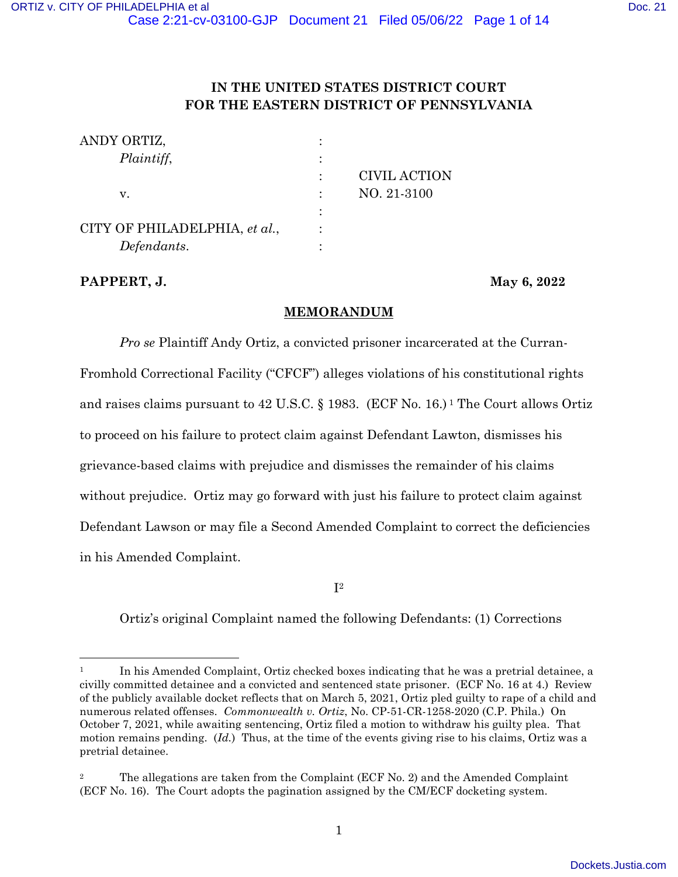# **IN THE UNITED STATES DISTRICT COURT FOR THE EASTERN DISTRICT OF PENNSYLVANIA**

| ANDY ORTIZ,                   |              |
|-------------------------------|--------------|
| Plaintiff,                    |              |
|                               | CIVIL ACTION |
| v.                            | NO. 21-3100  |
|                               |              |
| CITY OF PHILADELPHIA, et al., |              |
| Defendants.                   |              |

**PAPPERT, J.** May 6, 2022

## **MEMORANDUM**

*Pro se* Plaintiff Andy Ortiz, a convicted prisoner incarcerated at the Curran-Fromhold Correctional Facility ("CFCF") alleges violations of his constitutional rights and raises claims pursuant to 42 U.S.C. § 1983. (ECF No. 16.) 1 The Court allows Ortiz to proceed on his failure to protect claim against Defendant Lawton, dismisses his grievance-based claims with prejudice and dismisses the remainder of his claims without prejudice. Ortiz may go forward with just his failure to protect claim against Defendant Lawson or may file a Second Amended Complaint to correct the deficiencies in his Amended Complaint.

 $\mathbf{I}^2$ 

Ortiz's original Complaint named the following Defendants: (1) Corrections

<sup>&</sup>lt;sup>1</sup> In his Amended Complaint, Ortiz checked boxes indicating that he was a pretrial detainee, a civilly committed detainee and a convicted and sentenced state prisoner. (ECF No. 16 at 4.) Review of the publicly available docket reflects that on March 5, 2021, Ortiz pled guilty to rape of a child and numerous related offenses. *Commonwealth v. Ortiz*, No. CP-51-CR-1258-2020 (C.P. Phila.) On October 7, 2021, while awaiting sentencing, Ortiz filed a motion to withdraw his guilty plea. That motion remains pending. (*Id.*) Thus, at the time of the events giving rise to his claims, Ortiz was a pretrial detainee.

<sup>2</sup> The allegations are taken from the Complaint (ECF No. 2) and the Amended Complaint (ECF No. 16). The Court adopts the pagination assigned by the CM/ECF docketing system.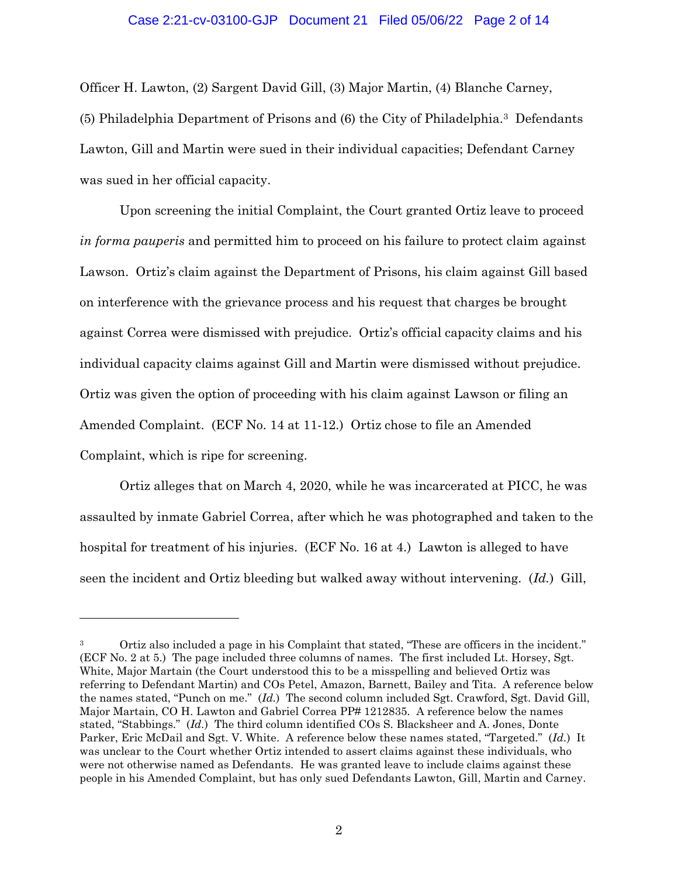## Case 2:21-cv-03100-GJP Document 21 Filed 05/06/22 Page 2 of 14

Officer H. Lawton, (2) Sargent David Gill, (3) Major Martin, (4) Blanche Carney, (5) Philadelphia Department of Prisons and (6) the City of Philadelphia.3 Defendants Lawton, Gill and Martin were sued in their individual capacities; Defendant Carney was sued in her official capacity.

 Upon screening the initial Complaint, the Court granted Ortiz leave to proceed *in forma pauperis* and permitted him to proceed on his failure to protect claim against Lawson. Ortiz's claim against the Department of Prisons, his claim against Gill based on interference with the grievance process and his request that charges be brought against Correa were dismissed with prejudice. Ortiz's official capacity claims and his individual capacity claims against Gill and Martin were dismissed without prejudice. Ortiz was given the option of proceeding with his claim against Lawson or filing an Amended Complaint. (ECF No. 14 at 11-12.) Ortiz chose to file an Amended Complaint, which is ripe for screening.

 Ortiz alleges that on March 4, 2020, while he was incarcerated at PICC, he was assaulted by inmate Gabriel Correa, after which he was photographed and taken to the hospital for treatment of his injuries. (ECF No. 16 at 4.) Lawton is alleged to have seen the incident and Ortiz bleeding but walked away without intervening. (*Id.*) Gill,

<sup>&</sup>lt;sup>3</sup> Ortiz also included a page in his Complaint that stated, "These are officers in the incident." (ECF No. 2 at 5.) The page included three columns of names. The first included Lt. Horsey, Sgt. White, Major Martain (the Court understood this to be a misspelling and believed Ortiz was referring to Defendant Martin) and COs Petel, Amazon, Barnett, Bailey and Tita. A reference below the names stated, "Punch on me." (*Id.*) The second column included Sgt. Crawford, Sgt. David Gill, Major Martain, CO H. Lawton and Gabriel Correa PP# 1212835. A reference below the names stated, "Stabbings." (*Id.*) The third column identified COs S. Blacksheer and A. Jones, Donte Parker, Eric McDail and Sgt. V. White. A reference below these names stated, "Targeted." (*Id.*) It was unclear to the Court whether Ortiz intended to assert claims against these individuals, who were not otherwise named as Defendants. He was granted leave to include claims against these people in his Amended Complaint, but has only sued Defendants Lawton, Gill, Martin and Carney.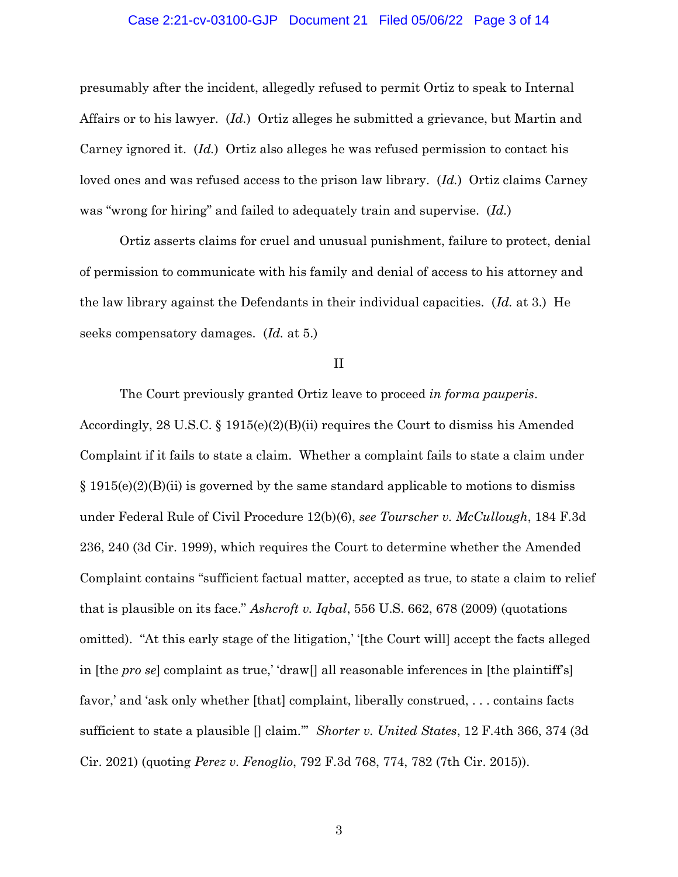#### Case 2:21-cv-03100-GJP Document 21 Filed 05/06/22 Page 3 of 14

presumably after the incident, allegedly refused to permit Ortiz to speak to Internal Affairs or to his lawyer. (*Id.*) Ortiz alleges he submitted a grievance, but Martin and Carney ignored it. (*Id.*) Ortiz also alleges he was refused permission to contact his loved ones and was refused access to the prison law library. (*Id.*) Ortiz claims Carney was "wrong for hiring" and failed to adequately train and supervise. (*Id.*)

 Ortiz asserts claims for cruel and unusual punishment, failure to protect, denial of permission to communicate with his family and denial of access to his attorney and the law library against the Defendants in their individual capacities. (*Id.* at 3.) He seeks compensatory damages. (*Id.* at 5.)

#### II

The Court previously granted Ortiz leave to proceed *in forma pauperis*. Accordingly, 28 U.S.C. § 1915(e)(2)(B)(ii) requires the Court to dismiss his Amended Complaint if it fails to state a claim. Whether a complaint fails to state a claim under  $\S 1915(e)(2)(B)(ii)$  is governed by the same standard applicable to motions to dismiss under Federal Rule of Civil Procedure 12(b)(6), *see Tourscher v. McCullough*, 184 F.3d 236, 240 (3d Cir. 1999), which requires the Court to determine whether the Amended Complaint contains "sufficient factual matter, accepted as true, to state a claim to relief that is plausible on its face." *Ashcroft v. Iqbal*, 556 U.S. 662, 678 (2009) (quotations omitted). "At this early stage of the litigation,' '[the Court will] accept the facts alleged in [the *pro se*] complaint as true,' 'draw[] all reasonable inferences in [the plaintiff's] favor,' and 'ask only whether [that] complaint, liberally construed, . . . contains facts sufficient to state a plausible [] claim.'" *Shorter v. United States*, 12 F.4th 366, 374 (3d Cir. 2021) (quoting *Perez v. Fenoglio*, 792 F.3d 768, 774, 782 (7th Cir. 2015)).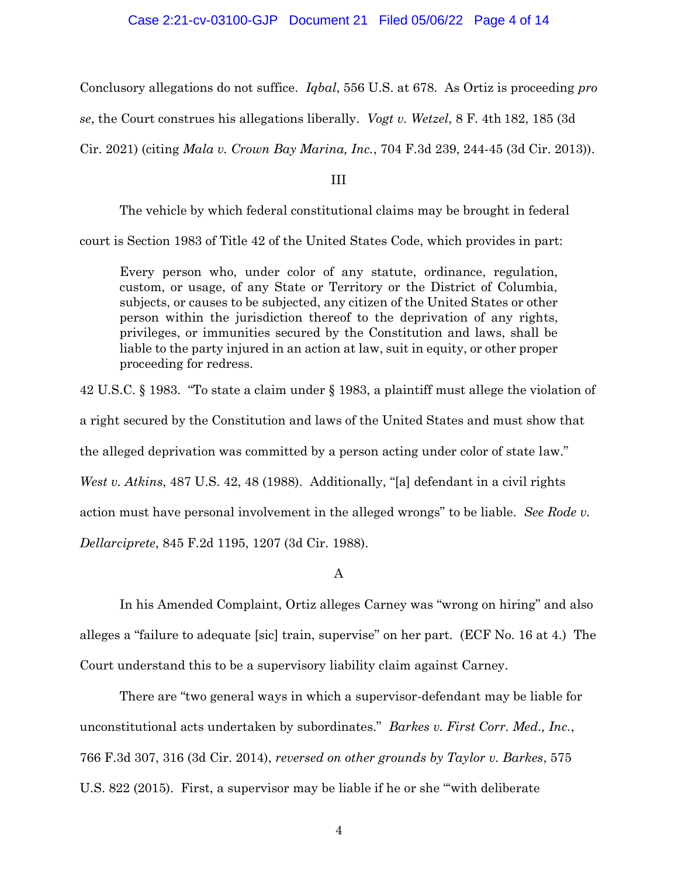# Case 2:21-cv-03100-GJP Document 21 Filed 05/06/22 Page 4 of 14

Conclusory allegations do not suffice. *Iqbal*, 556 U.S. at 678. As Ortiz is proceeding *pro* 

*se*, the Court construes his allegations liberally. *Vogt v. Wetzel*, 8 F. 4th 182, 185 (3d

Cir. 2021) (citing *Mala v. Crown Bay Marina, Inc.*, 704 F.3d 239, 244-45 (3d Cir. 2013)).

III

The vehicle by which federal constitutional claims may be brought in federal

court is Section 1983 of Title 42 of the United States Code, which provides in part:

Every person who, under color of any statute, ordinance, regulation, custom, or usage, of any State or Territory or the District of Columbia, subjects, or causes to be subjected, any citizen of the United States or other person within the jurisdiction thereof to the deprivation of any rights, privileges, or immunities secured by the Constitution and laws, shall be liable to the party injured in an action at law, suit in equity, or other proper proceeding for redress.

42 U.S.C. § 1983. "To state a claim under § 1983, a plaintiff must allege the violation of

a right secured by the Constitution and laws of the United States and must show that

the alleged deprivation was committed by a person acting under color of state law."

*West v. Atkins*, 487 U.S. 42, 48 (1988). Additionally, "[a] defendant in a civil rights

action must have personal involvement in the alleged wrongs" to be liable. *See Rode v.* 

*Dellarciprete*, 845 F.2d 1195, 1207 (3d Cir. 1988).

A

In his Amended Complaint, Ortiz alleges Carney was "wrong on hiring" and also alleges a "failure to adequate [sic] train, supervise" on her part. (ECF No. 16 at 4.) The Court understand this to be a supervisory liability claim against Carney.

There are "two general ways in which a supervisor-defendant may be liable for unconstitutional acts undertaken by subordinates." *Barkes v. First Corr. Med., Inc.*, 766 F.3d 307, 316 (3d Cir. 2014), *reversed on other grounds by Taylor v. Barkes*, 575 U.S. 822 (2015). First, a supervisor may be liable if he or she "'with deliberate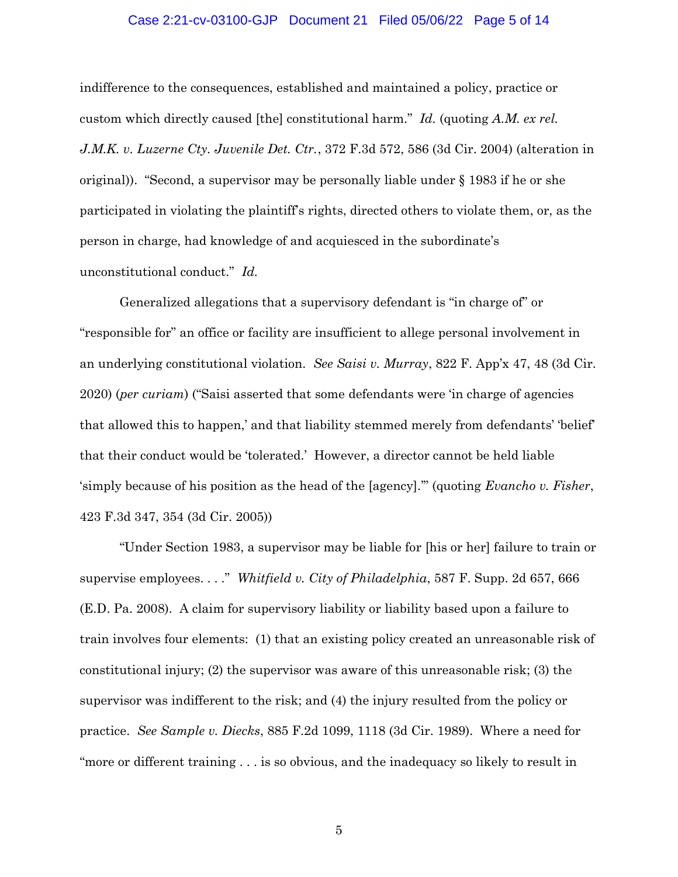## Case 2:21-cv-03100-GJP Document 21 Filed 05/06/22 Page 5 of 14

indifference to the consequences, established and maintained a policy, practice or custom which directly caused [the] constitutional harm." *Id.* (quoting *A.M. ex rel. J.M.K. v. Luzerne Cty. Juvenile Det. Ctr.*, 372 F.3d 572, 586 (3d Cir. 2004) (alteration in original)). "Second, a supervisor may be personally liable under  $\S$  1983 if he or she participated in violating the plaintiff's rights, directed others to violate them, or, as the person in charge, had knowledge of and acquiesced in the subordinate's unconstitutional conduct." *Id.*

Generalized allegations that a supervisory defendant is "in charge of" or "responsible for" an office or facility are insufficient to allege personal involvement in an underlying constitutional violation. *See Saisi v. Murray*, 822 F. App'x 47, 48 (3d Cir. 2020) (*per curiam*) ("Saisi asserted that some defendants were 'in charge of agencies that allowed this to happen,' and that liability stemmed merely from defendants' 'belief' that their conduct would be 'tolerated.' However, a director cannot be held liable 'simply because of his position as the head of the [agency].'" (quoting *Evancho v. Fisher*, 423 F.3d 347, 354 (3d Cir. 2005))

"Under Section 1983, a supervisor may be liable for [his or her] failure to train or supervise employees. . . ." *Whitfield v. City of Philadelphia*, 587 F. Supp. 2d 657, 666 (E.D. Pa. 2008). A claim for supervisory liability or liability based upon a failure to train involves four elements: (1) that an existing policy created an unreasonable risk of constitutional injury; (2) the supervisor was aware of this unreasonable risk; (3) the supervisor was indifferent to the risk; and (4) the injury resulted from the policy or practice. *See Sample v. Diecks*, 885 F.2d 1099, 1118 (3d Cir. 1989). Where a need for "more or different training . . . is so obvious, and the inadequacy so likely to result in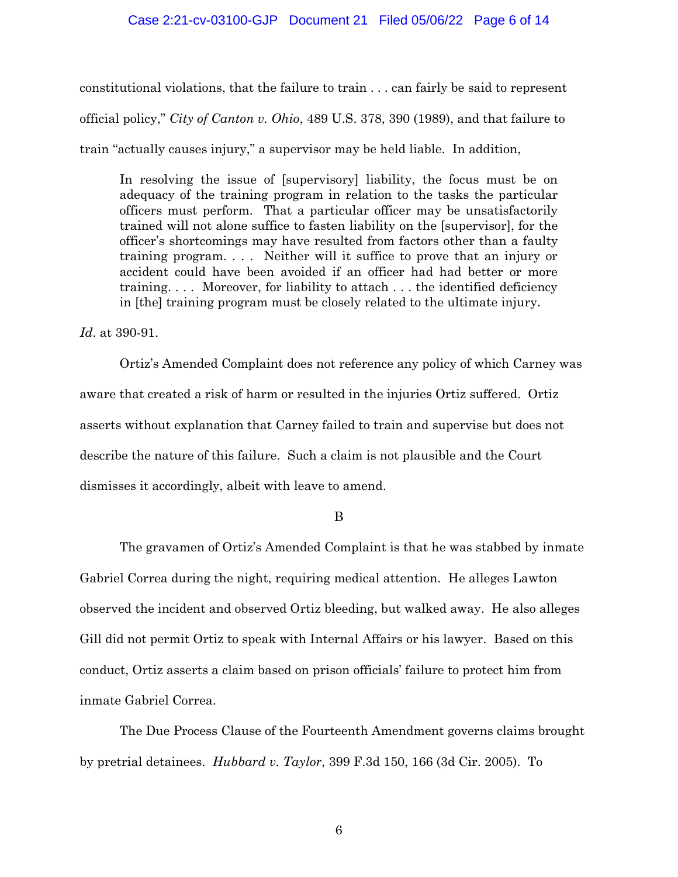## Case 2:21-cv-03100-GJP Document 21 Filed 05/06/22 Page 6 of 14

constitutional violations, that the failure to train . . . can fairly be said to represent official policy," *City of Canton v. Ohio*, 489 U.S. 378, 390 (1989), and that failure to train "actually causes injury," a supervisor may be held liable. In addition,

In resolving the issue of [supervisory] liability, the focus must be on adequacy of the training program in relation to the tasks the particular officers must perform. That a particular officer may be unsatisfactorily trained will not alone suffice to fasten liability on the [supervisor], for the officer's shortcomings may have resulted from factors other than a faulty training program. . . . Neither will it suffice to prove that an injury or accident could have been avoided if an officer had had better or more training. . . . Moreover, for liability to attach . . . the identified deficiency in [the] training program must be closely related to the ultimate injury.

*Id*. at 390-91.

Ortiz's Amended Complaint does not reference any policy of which Carney was aware that created a risk of harm or resulted in the injuries Ortiz suffered. Ortiz asserts without explanation that Carney failed to train and supervise but does not describe the nature of this failure. Such a claim is not plausible and the Court dismisses it accordingly, albeit with leave to amend.

B

The gravamen of Ortiz's Amended Complaint is that he was stabbed by inmate Gabriel Correa during the night, requiring medical attention. He alleges Lawton observed the incident and observed Ortiz bleeding, but walked away. He also alleges Gill did not permit Ortiz to speak with Internal Affairs or his lawyer. Based on this conduct, Ortiz asserts a claim based on prison officials' failure to protect him from inmate Gabriel Correa.

 The Due Process Clause of the Fourteenth Amendment governs claims brought by pretrial detainees. *Hubbard v. Taylor*, 399 F.3d 150, 166 (3d Cir. 2005). To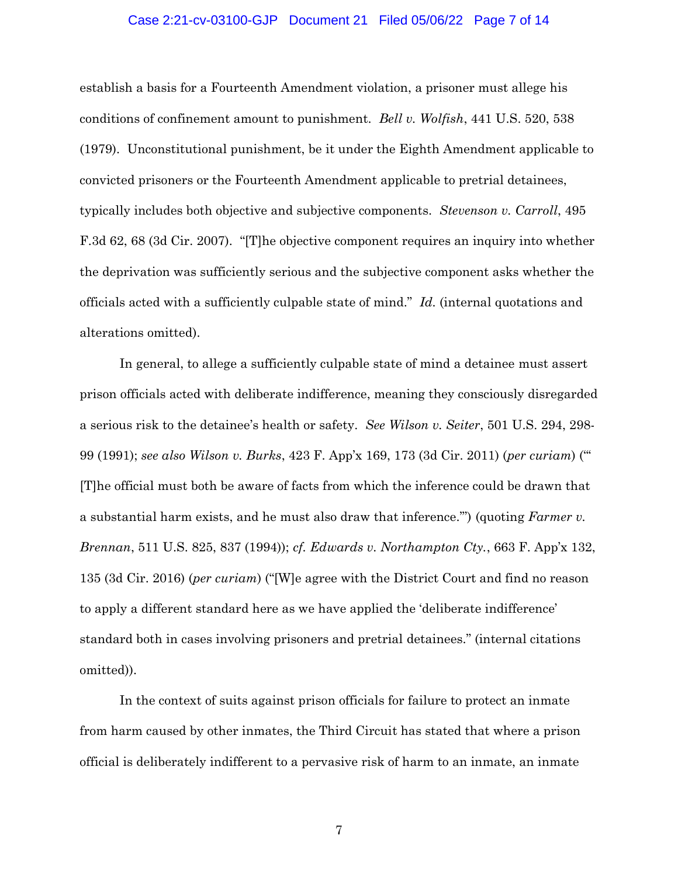#### Case 2:21-cv-03100-GJP Document 21 Filed 05/06/22 Page 7 of 14

establish a basis for a Fourteenth Amendment violation, a prisoner must allege his conditions of confinement amount to punishment. *Bell v. Wolfish*, 441 U.S. 520, 538 (1979). Unconstitutional punishment, be it under the Eighth Amendment applicable to convicted prisoners or the Fourteenth Amendment applicable to pretrial detainees, typically includes both objective and subjective components. *Stevenson v. Carroll*, 495 F.3d 62, 68 (3d Cir. 2007). "[T]he objective component requires an inquiry into whether the deprivation was sufficiently serious and the subjective component asks whether the officials acted with a sufficiently culpable state of mind." *Id.* (internal quotations and alterations omitted).

 In general, to allege a sufficiently culpable state of mind a detainee must assert prison officials acted with deliberate indifference, meaning they consciously disregarded a serious risk to the detainee's health or safety. *See Wilson v. Seiter*, 501 U.S. 294, 298- 99 (1991); *see also Wilson v. Burks*, 423 F. App'x 169, 173 (3d Cir. 2011) (*per curiam*) ("' [T]he official must both be aware of facts from which the inference could be drawn that a substantial harm exists, and he must also draw that inference.'") (quoting *Farmer v. Brennan*, 511 U.S. 825, 837 (1994)); *cf. Edwards v. Northampton Cty.*, 663 F. App'x 132, 135 (3d Cir. 2016) (*per curiam*) ("[W]e agree with the District Court and find no reason to apply a different standard here as we have applied the 'deliberate indifference' standard both in cases involving prisoners and pretrial detainees." (internal citations omitted)).

In the context of suits against prison officials for failure to protect an inmate from harm caused by other inmates, the Third Circuit has stated that where a prison official is deliberately indifferent to a pervasive risk of harm to an inmate, an inmate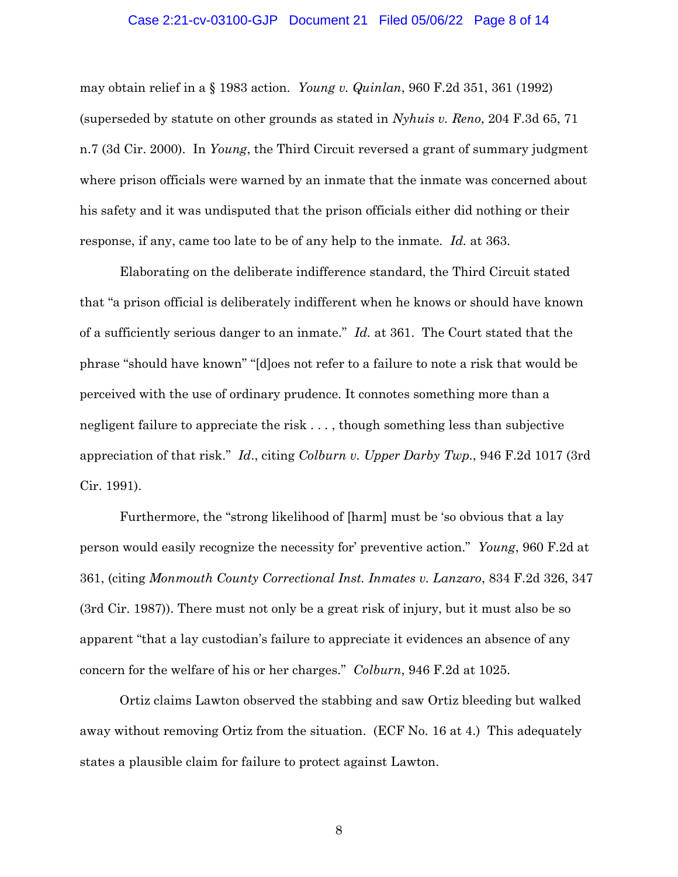#### Case 2:21-cv-03100-GJP Document 21 Filed 05/06/22 Page 8 of 14

may obtain relief in a § 1983 action. *Young v. Quinlan*, 960 F.2d 351, 361 (1992) (superseded by statute on other grounds as stated in *Nyhuis v. Reno*, 204 F.3d 65, 71 n.7 (3d Cir. 2000). In *Young*, the Third Circuit reversed a grant of summary judgment where prison officials were warned by an inmate that the inmate was concerned about his safety and it was undisputed that the prison officials either did nothing or their response, if any, came too late to be of any help to the inmate. *Id.* at 363.

Elaborating on the deliberate indifference standard, the Third Circuit stated that "a prison official is deliberately indifferent when he knows or should have known of a sufficiently serious danger to an inmate." *Id.* at 361. The Court stated that the phrase "should have known" "[d]oes not refer to a failure to note a risk that would be perceived with the use of ordinary prudence. It connotes something more than a negligent failure to appreciate the risk . . . , though something less than subjective appreciation of that risk." *Id*., citing *Colburn v. Upper Darby Twp.*, 946 F.2d 1017 (3rd Cir. 1991).

Furthermore, the "strong likelihood of [harm] must be 'so obvious that a lay person would easily recognize the necessity for' preventive action." *Young*, 960 F.2d at 361, (citing *Monmouth County Correctional Inst. Inmates v. Lanzaro*, 834 F.2d 326, 347 (3rd Cir. 1987)). There must not only be a great risk of injury, but it must also be so apparent "that a lay custodian's failure to appreciate it evidences an absence of any concern for the welfare of his or her charges." *Colburn*, 946 F.2d at 1025.

Ortiz claims Lawton observed the stabbing and saw Ortiz bleeding but walked away without removing Ortiz from the situation. (ECF No. 16 at 4.) This adequately states a plausible claim for failure to protect against Lawton.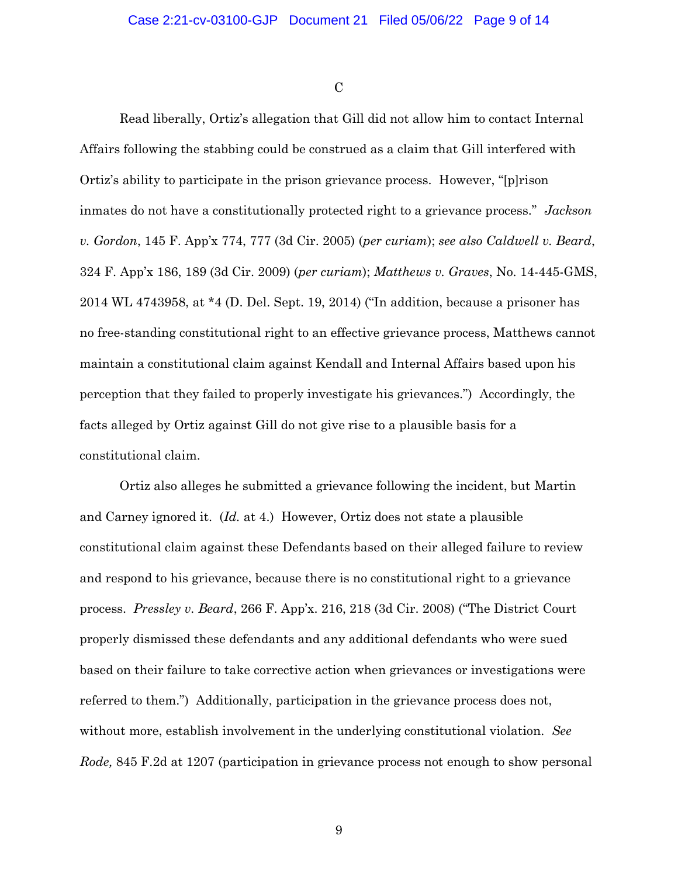$\overline{C}$ 

Read liberally, Ortiz's allegation that Gill did not allow him to contact Internal Affairs following the stabbing could be construed as a claim that Gill interfered with Ortiz's ability to participate in the prison grievance process. However, "[p]rison inmates do not have a constitutionally protected right to a grievance process." *Jackson v. Gordon*, 145 F. App'x 774, 777 (3d Cir. 2005) (*per curiam*); *see also Caldwell v. Beard*, 324 F. App'x 186, 189 (3d Cir. 2009) (*per curiam*); *Matthews v. Graves*, No. 14-445-GMS, 2014 WL 4743958, at \*4 (D. Del. Sept. 19, 2014) ("In addition, because a prisoner has no free-standing constitutional right to an effective grievance process, Matthews cannot maintain a constitutional claim against Kendall and Internal Affairs based upon his perception that they failed to properly investigate his grievances.") Accordingly, the facts alleged by Ortiz against Gill do not give rise to a plausible basis for a constitutional claim.

Ortiz also alleges he submitted a grievance following the incident, but Martin and Carney ignored it. (*Id.* at 4.) However, Ortiz does not state a plausible constitutional claim against these Defendants based on their alleged failure to review and respond to his grievance, because there is no constitutional right to a grievance process. *Pressley v. Beard*, 266 F. App'x. 216, 218 (3d Cir. 2008) ("The District Court properly dismissed these defendants and any additional defendants who were sued based on their failure to take corrective action when grievances or investigations were referred to them.") Additionally, participation in the grievance process does not, without more, establish involvement in the underlying constitutional violation. *See Rode,* 845 F.2d at 1207 (participation in grievance process not enough to show personal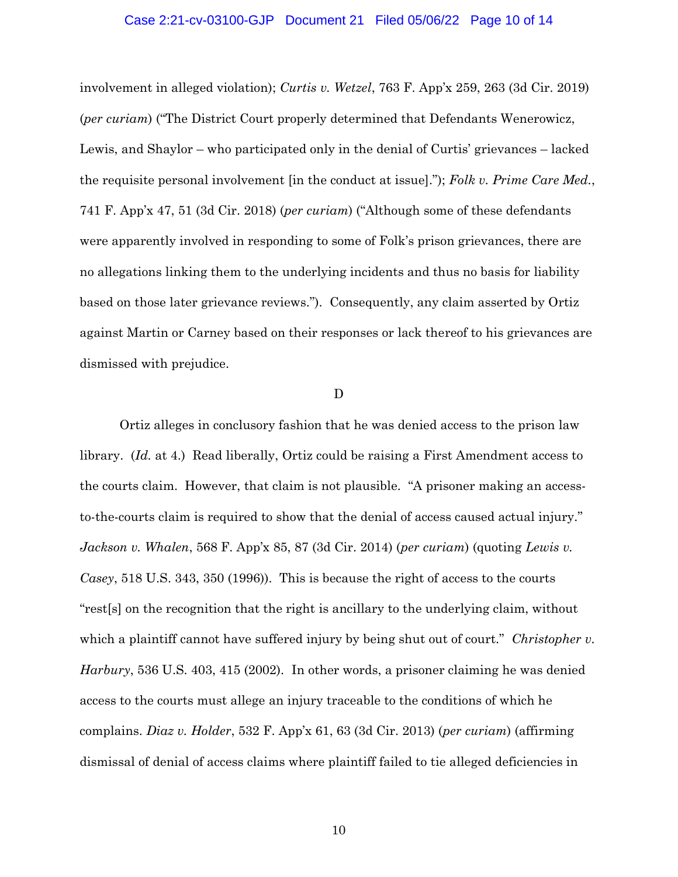#### Case 2:21-cv-03100-GJP Document 21 Filed 05/06/22 Page 10 of 14

involvement in alleged violation); *Curtis v. Wetzel*, 763 F. App'x 259, 263 (3d Cir. 2019) (*per curiam*) ("The District Court properly determined that Defendants Wenerowicz, Lewis, and Shaylor – who participated only in the denial of Curtis' grievances – lacked the requisite personal involvement [in the conduct at issue]."); *Folk v. Prime Care Med.*, 741 F. App'x 47, 51 (3d Cir. 2018) (*per curiam*) ("Although some of these defendants were apparently involved in responding to some of Folk's prison grievances, there are no allegations linking them to the underlying incidents and thus no basis for liability based on those later grievance reviews."). Consequently, any claim asserted by Ortiz against Martin or Carney based on their responses or lack thereof to his grievances are dismissed with prejudice.

#### D

Ortiz alleges in conclusory fashion that he was denied access to the prison law library. (*Id.* at 4.) Read liberally, Ortiz could be raising a First Amendment access to the courts claim. However, that claim is not plausible. "A prisoner making an accessto-the-courts claim is required to show that the denial of access caused actual injury." *Jackson v. Whalen*, 568 F. App'x 85, 87 (3d Cir. 2014) (*per curiam*) (quoting *Lewis v. Casey*, 518 U.S. 343, 350 (1996)). This is because the right of access to the courts "rest[s] on the recognition that the right is ancillary to the underlying claim, without which a plaintiff cannot have suffered injury by being shut out of court." *Christopher v. Harbury*, 536 U.S. 403, 415 (2002). In other words, a prisoner claiming he was denied access to the courts must allege an injury traceable to the conditions of which he complains. *Diaz v. Holder*, 532 F. App'x 61, 63 (3d Cir. 2013) (*per curiam*) (affirming dismissal of denial of access claims where plaintiff failed to tie alleged deficiencies in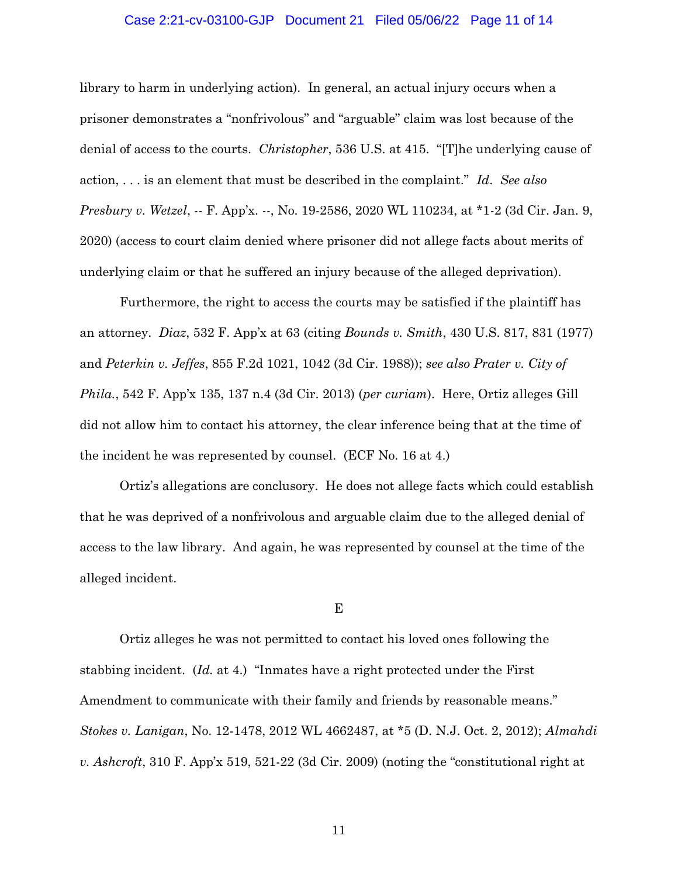#### Case 2:21-cv-03100-GJP Document 21 Filed 05/06/22 Page 11 of 14

library to harm in underlying action). In general, an actual injury occurs when a prisoner demonstrates a "nonfrivolous" and "arguable" claim was lost because of the denial of access to the courts. *Christopher*, 536 U.S. at 415. "[T]he underlying cause of action, . . . is an element that must be described in the complaint." *Id*. *See also Presbury v. Wetzel*, -- F. App'x. --, No. 19-2586, 2020 WL 110234, at \*1-2 (3d Cir. Jan. 9, 2020) (access to court claim denied where prisoner did not allege facts about merits of underlying claim or that he suffered an injury because of the alleged deprivation).

Furthermore, the right to access the courts may be satisfied if the plaintiff has an attorney. *Diaz*, 532 F. App'x at 63 (citing *Bounds v. Smith*, 430 U.S. 817, 831 (1977) and *Peterkin v. Jeffes*, 855 F.2d 1021, 1042 (3d Cir. 1988)); *see also Prater v. City of Phila.*, 542 F. App'x 135, 137 n.4 (3d Cir. 2013) (*per curiam*). Here, Ortiz alleges Gill did not allow him to contact his attorney, the clear inference being that at the time of the incident he was represented by counsel. (ECF No. 16 at 4.)

Ortiz's allegations are conclusory. He does not allege facts which could establish that he was deprived of a nonfrivolous and arguable claim due to the alleged denial of access to the law library. And again, he was represented by counsel at the time of the alleged incident.

E

Ortiz alleges he was not permitted to contact his loved ones following the stabbing incident. (*Id.* at 4.) "Inmates have a right protected under the First Amendment to communicate with their family and friends by reasonable means." *Stokes v. Lanigan*, No. 12-1478, 2012 WL 4662487, at \*5 (D. N.J. Oct. 2, 2012); *Almahdi v. Ashcroft*, 310 F. App'x 519, 521-22 (3d Cir. 2009) (noting the "constitutional right at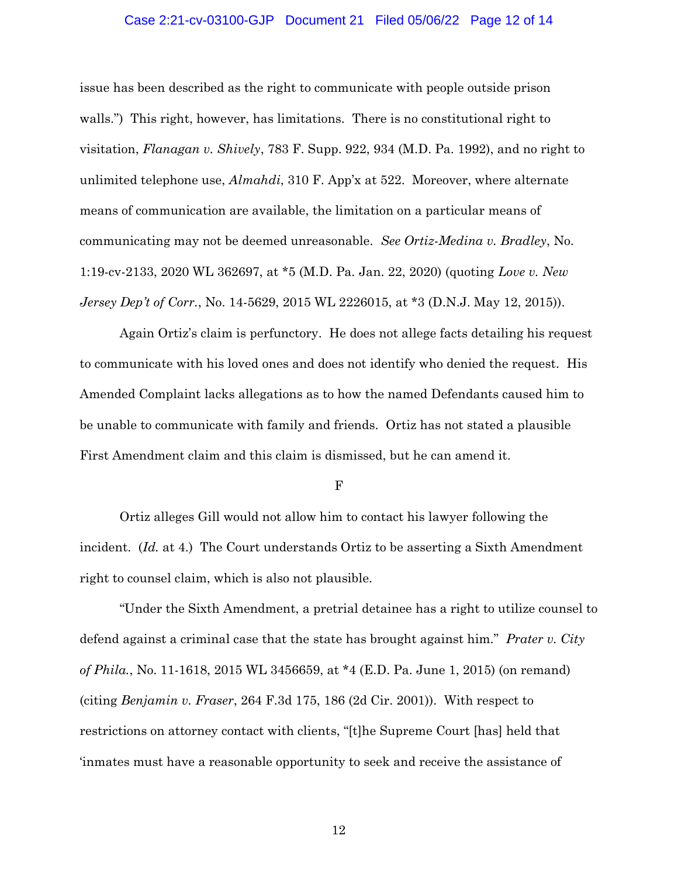#### Case 2:21-cv-03100-GJP Document 21 Filed 05/06/22 Page 12 of 14

issue has been described as the right to communicate with people outside prison walls.") This right, however, has limitations. There is no constitutional right to visitation, *Flanagan v. Shively*, 783 F. Supp. 922, 934 (M.D. Pa. 1992), and no right to unlimited telephone use, *Almahdi*, 310 F. App'x at 522. Moreover, where alternate means of communication are available, the limitation on a particular means of communicating may not be deemed unreasonable. *See Ortiz-Medina v. Bradley*, No. 1:19-cv-2133, 2020 WL 362697, at \*5 (M.D. Pa. Jan. 22, 2020) (quoting *Love v. New Jersey Dep't of Corr.*, No. 14-5629, 2015 WL 2226015, at \*3 (D.N.J. May 12, 2015)).

Again Ortiz's claim is perfunctory. He does not allege facts detailing his request to communicate with his loved ones and does not identify who denied the request. His Amended Complaint lacks allegations as to how the named Defendants caused him to be unable to communicate with family and friends. Ortiz has not stated a plausible First Amendment claim and this claim is dismissed, but he can amend it.

F

Ortiz alleges Gill would not allow him to contact his lawyer following the incident. (*Id.* at 4.) The Court understands Ortiz to be asserting a Sixth Amendment right to counsel claim, which is also not plausible.

"Under the Sixth Amendment, a pretrial detainee has a right to utilize counsel to defend against a criminal case that the state has brought against him." *Prater v. City of Phila.*, No. 11-1618, 2015 WL 3456659, at \*4 (E.D. Pa. June 1, 2015) (on remand) (citing *Benjamin v. Fraser*, 264 F.3d 175, 186 (2d Cir. 2001)). With respect to restrictions on attorney contact with clients, "[t]he Supreme Court [has] held that 'inmates must have a reasonable opportunity to seek and receive the assistance of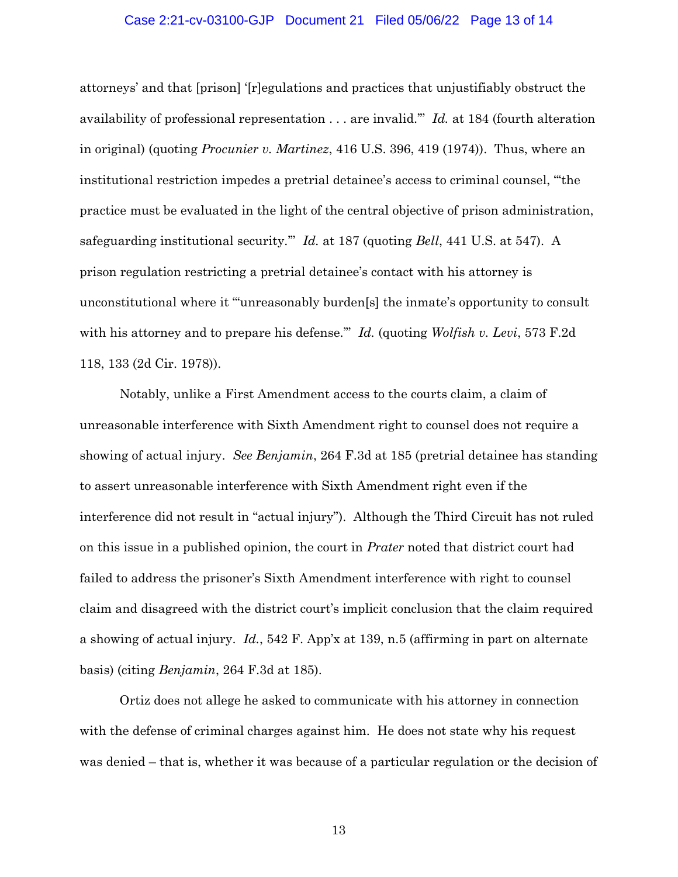#### Case 2:21-cv-03100-GJP Document 21 Filed 05/06/22 Page 13 of 14

attorneys' and that [prison] '[r]egulations and practices that unjustifiably obstruct the availability of professional representation . . . are invalid.'" *Id.* at 184 (fourth alteration in original) (quoting *Procunier v. Martinez*, 416 U.S. 396, 419 (1974)). Thus, where an institutional restriction impedes a pretrial detainee's access to criminal counsel, "'the practice must be evaluated in the light of the central objective of prison administration, safeguarding institutional security.'" *Id.* at 187 (quoting *Bell*, 441 U.S. at 547). A prison regulation restricting a pretrial detainee's contact with his attorney is unconstitutional where it "'unreasonably burden[s] the inmate's opportunity to consult with his attorney and to prepare his defense.'" *Id.* (quoting *Wolfish v. Levi*, 573 F.2d 118, 133 (2d Cir. 1978)).

Notably, unlike a First Amendment access to the courts claim, a claim of unreasonable interference with Sixth Amendment right to counsel does not require a showing of actual injury. *See Benjamin*, 264 F.3d at 185 (pretrial detainee has standing to assert unreasonable interference with Sixth Amendment right even if the interference did not result in "actual injury"). Although the Third Circuit has not ruled on this issue in a published opinion, the court in *Prater* noted that district court had failed to address the prisoner's Sixth Amendment interference with right to counsel claim and disagreed with the district court's implicit conclusion that the claim required a showing of actual injury. *Id.*, 542 F. App'x at 139, n.5 (affirming in part on alternate basis) (citing *Benjamin*, 264 F.3d at 185).

Ortiz does not allege he asked to communicate with his attorney in connection with the defense of criminal charges against him. He does not state why his request was denied – that is, whether it was because of a particular regulation or the decision of